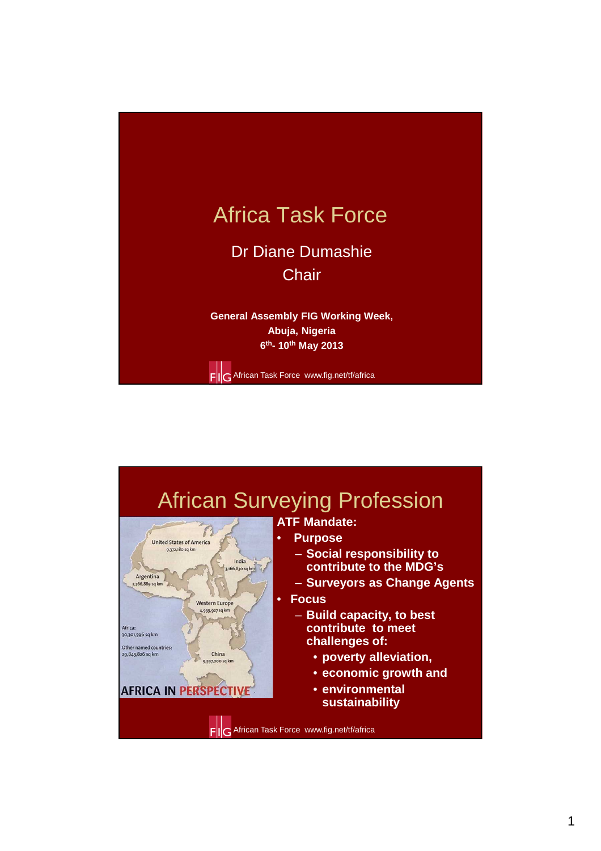

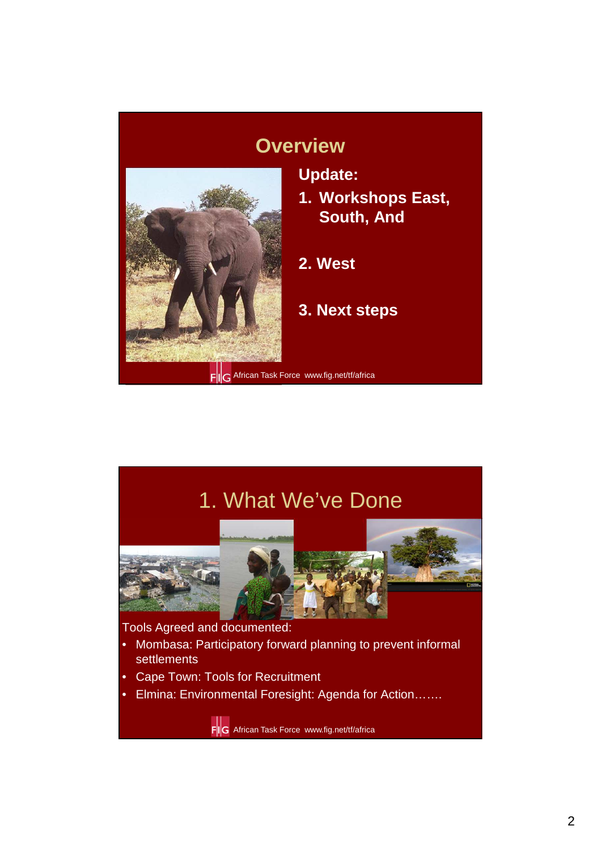#### **Overview**



**Update:**

**1. Workshops East, South, And**

**2. West** 

**3. Next steps**

1. What We've Done



Tools Agreed and documented:

- Mombasa: Participatory forward planning to prevent informal settlements
- Cape Town: Tools for Recruitment
- Elmina: Environmental Foresight: Agenda for Action…….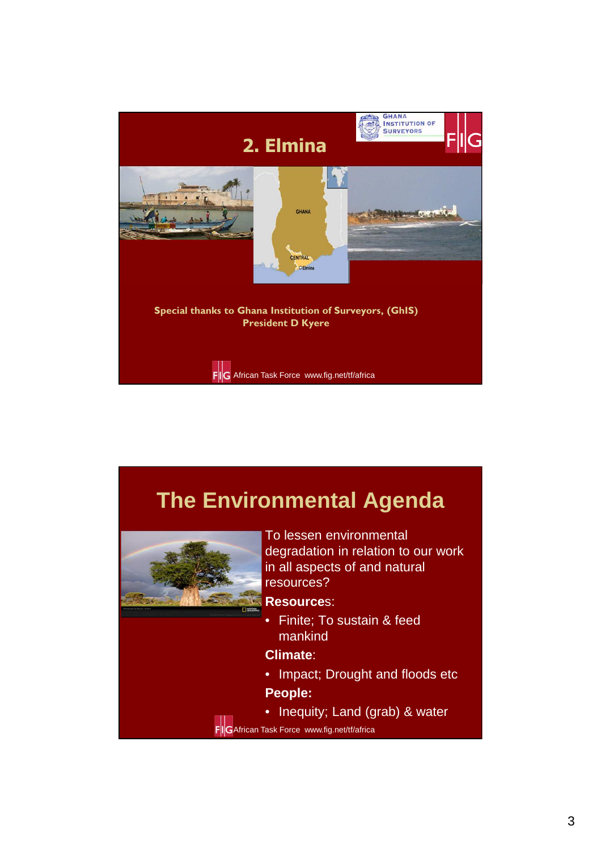

# **The Environmental Agenda**



To lessen environmental degradation in relation to our work in all aspects of and natural resources?

#### **Resource**s:

• Finite; To sustain & feed mankind

**Climate**:

- Impact; Drought and floods etc **People:**
- Inequity; Land (grab) & water
- FIG African Task Force www.fig.net/tf/africa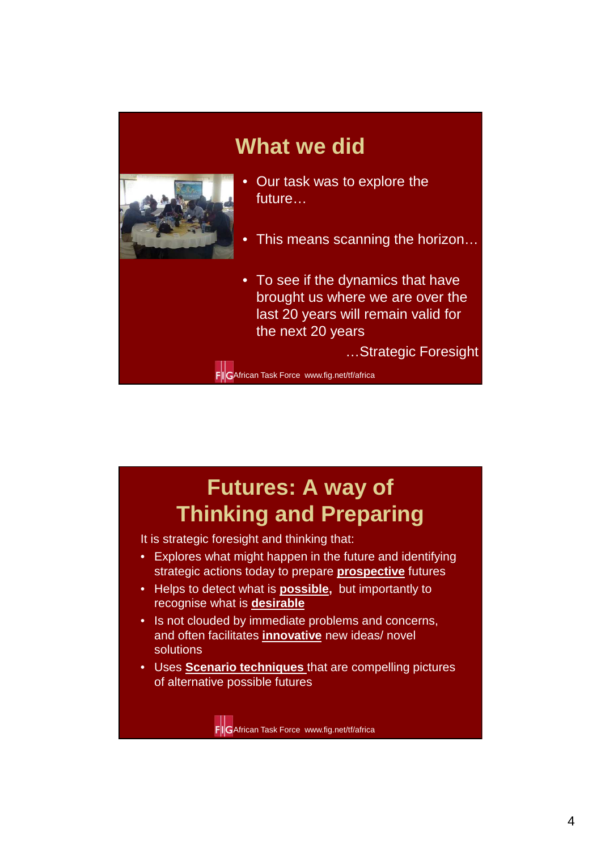### **What we did**



- Our task was to explore the future…
- This means scanning the horizon…
- To see if the dynamics that have brought us where we are over the last 20 years will remain valid for the next 20 years

…Strategic Foresight

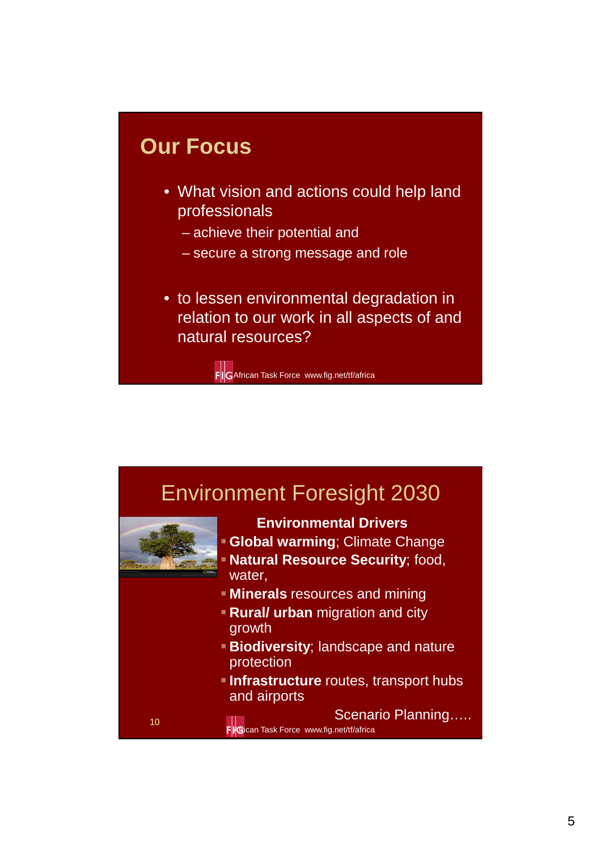#### **Our Focus**

- What vision and actions could help land professionals
	- achieve their potential and
	- secure a strong message and role
- to lessen environmental degradation in relation to our work in all aspects of and natural resources?

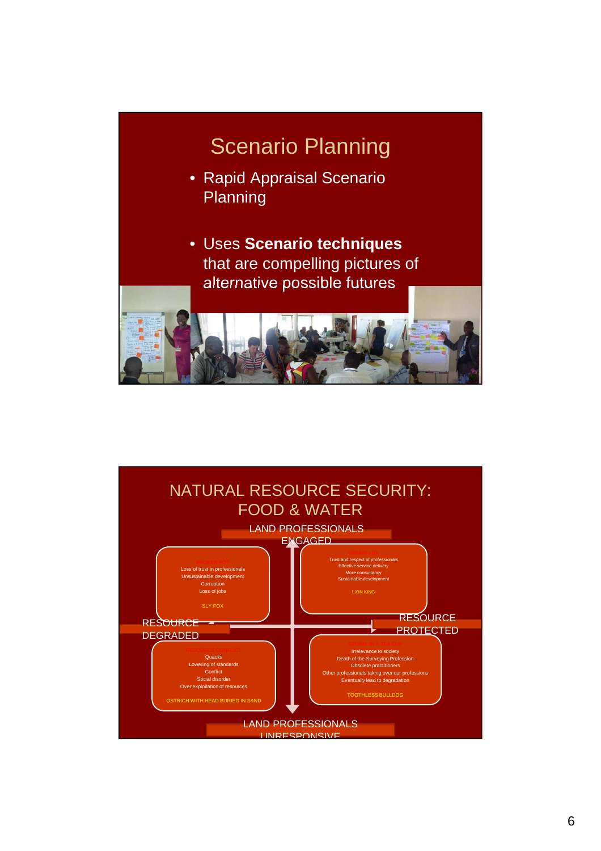

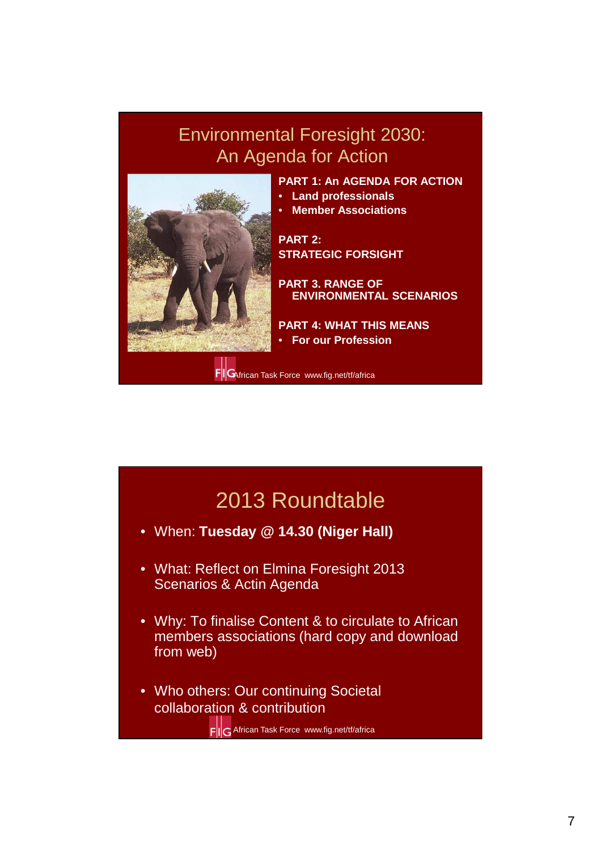#### Environmental Foresight 2030: An Agenda for Action



**PART 1: An AGENDA FOR ACTION** 

- **Land professionals**
- **Member Associations**

**PART 2: STRATEGIC FORSIGHT**

**PART 3. RANGE OF ENVIRONMENTAL SCENARIOS**

**PART 4: WHAT THIS MEANS**  • **For our Profession**

FIGAfrican Task Force www.fig.net/tf/africa

### 2013 Roundtable

- When: **Tuesday @ 14.30 (Niger Hall)**
- What: Reflect on Elmina Foresight 2013 Scenarios & Actin Agenda
- Why: To finalise Content & to circulate to African members associations (hard copy and download from web)
- Who others: Our continuing Societal collaboration & contribution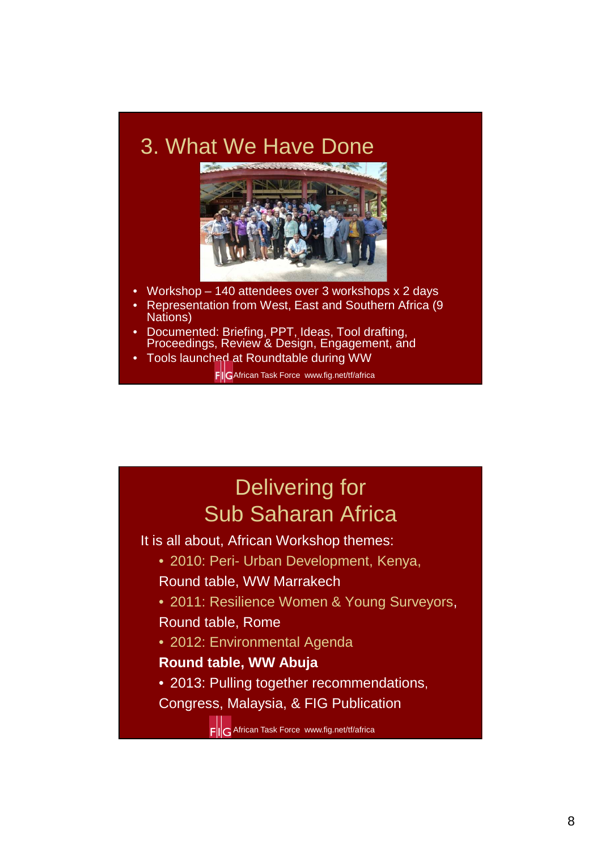### 3. What We Have Done



- Workshop 140 attendees over 3 workshops x 2 days
- Representation from West, East and Southern Africa (9 Nations)
- Documented: Briefing, PPT, Ideas, Tool drafting, Proceedings, Review & Design, Engagement, and
- Tools launched at Roundtable during WW

FIG African Task Force www.fig.net/tf/africa

### Delivering for Sub Saharan Africa

It is all about, African Workshop themes:

- 2010: Peri- Urban Development, Kenya,
- Round table, WW Marrakech
- 2011: Resilience Women & Young Surveyors,

#### Round table, Rome

• 2012: Environmental Agenda

#### **Round table, WW Abuja**

- 2013: Pulling together recommendations,
- Congress, Malaysia, & FIG Publication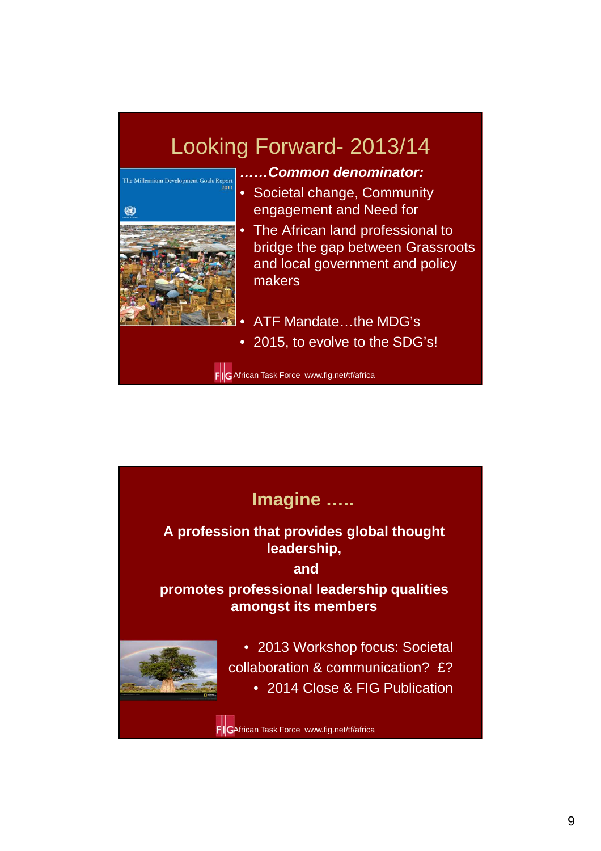# Looking Forward- 2013/14



- **……Common denominator:**
- Societal change, Community engagement and Need for
- The African land professional to bridge the gap between Grassroots and local government and policy makers
- ATF Mandate…the MDG's
- 2015, to evolve to the SDG's!